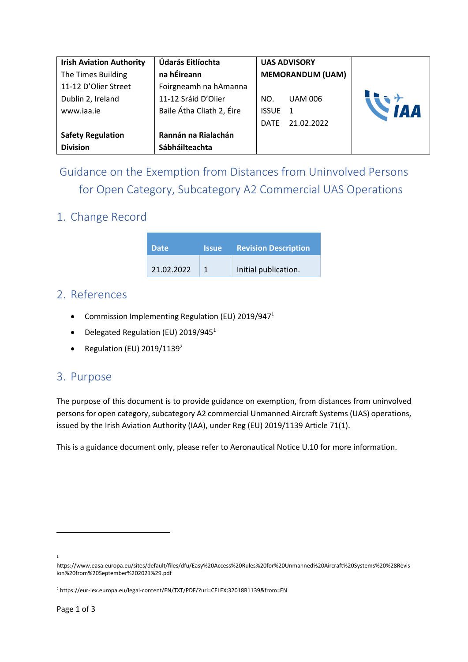| <b>Irish Aviation Authority</b> | Údarás Eitlíochta         |                         | <b>UAS ADVISORY</b> |  |
|---------------------------------|---------------------------|-------------------------|---------------------|--|
| The Times Building              | na hÉireann               | <b>MEMORANDUM (UAM)</b> |                     |  |
| 11-12 D'Olier Street            | Foirgneamh na hAmanna     |                         |                     |  |
| Dublin 2, Ireland               | 11-12 Sráid D'Olier       | NO.                     | <b>UAM 006</b>      |  |
| www.iaa.ie                      | Baile Átha Cliath 2, Éire | <b>ISSUE</b>            |                     |  |
|                                 |                           | <b>DATE</b>             | 21.02.2022          |  |
| <b>Safety Regulation</b>        | Rannán na Rialachán       |                         |                     |  |
| <b>Division</b>                 | Sábháilteachta            |                         |                     |  |

Guidance on the Exemption from Distances from Uninvolved Persons for Open Category, Subcategory A2 Commercial UAS Operations

## 1. Change Record

| <b>Date</b> | <b>Issue</b> | <b>Revision Description</b> |
|-------------|--------------|-----------------------------|
| 21.02.2022  |              | Initial publication.        |

## 2. References

- Commission Implementing Regulation (EU) 2019/947<sup>1</sup>
- Delegated Regulation (EU) 2019/945<sup>1</sup>
- Regulation (EU)  $2019/1139^2$

## 3. Purpose

The purpose of this document is to provide guidance on exemption, from distances from uninvolved persons for open category, subcategory A2 commercial Unmanned Aircraft Systems (UAS) operations, issued by the Irish Aviation Authority (IAA), under Reg (EU) 2019/1139 Article 71(1).

This is a guidance document only, please refer to Aeronautical Notice U.10 for more information.

<sup>1</sup>

https://www.easa.europa.eu/sites/default/files/dfu/Easy%20Access%20Rules%20for%20Unmanned%20Aircraft%20Systems%20%28Revis ion%20from%20September%202021%29.pdf

<sup>2</sup> https://eur-lex.europa.eu/legal-content/EN/TXT/PDF/?uri=CELEX:32018R1139&from=EN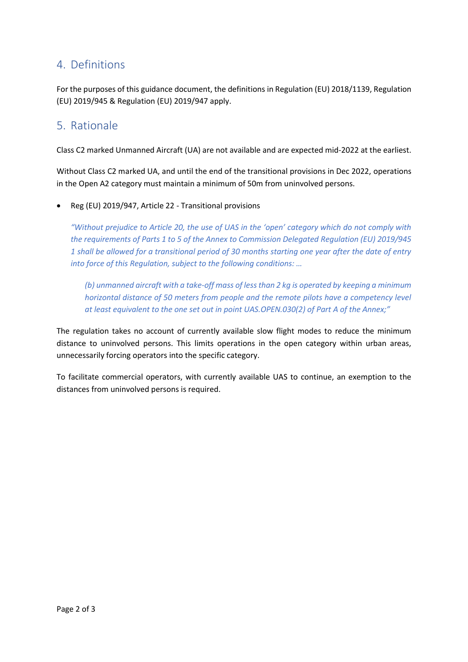# 4. Definitions

For the purposes of this guidance document, the definitions in Regulation (EU) 2018/1139, Regulation (EU) 2019/945 & Regulation (EU) 2019/947 apply.

# 5. Rationale

Class C2 marked Unmanned Aircraft (UA) are not available and are expected mid-2022 at the earliest.

Without Class C2 marked UA, and until the end of the transitional provisions in Dec 2022, operations in the Open A2 category must maintain a minimum of 50m from uninvolved persons.

• Reg (EU) 2019/947, Article 22 - Transitional provisions

*"Without prejudice to Article 20, the use of UAS in the 'open' category which do not comply with the requirements of Parts 1 to 5 of the Annex to Commission Delegated Regulation (EU) 2019/945 1 shall be allowed for a transitional period of 30 months starting one year after the date of entry into force of this Regulation, subject to the following conditions: …*

*(b) unmanned aircraft with a take-off mass of less than 2 kg is operated by keeping a minimum horizontal distance of 50 meters from people and the remote pilots have a competency level at least equivalent to the one set out in point UAS.OPEN.030(2) of Part A of the Annex;"*

The regulation takes no account of currently available slow flight modes to reduce the minimum distance to uninvolved persons. This limits operations in the open category within urban areas, unnecessarily forcing operators into the specific category.

To facilitate commercial operators, with currently available UAS to continue, an exemption to the distances from uninvolved persons is required.